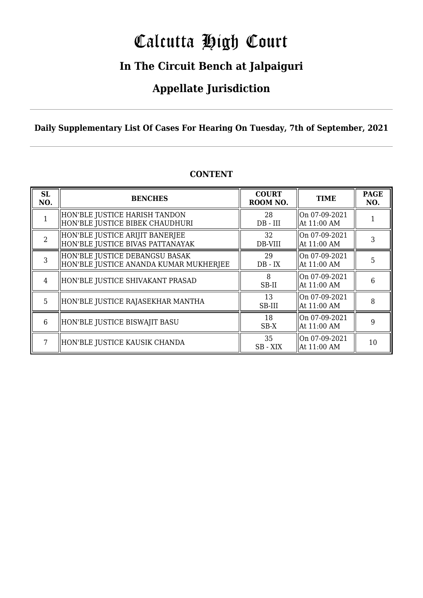# Calcutta High Court

### **In The Circuit Bench at Jalpaiguri**

### **Appellate Jurisdiction**

**Daily Supplementary List Of Cases For Hearing On Tuesday, 7th of September, 2021**

| <b>SL</b><br>NO. | <b>BENCHES</b>                                                           | <b>COURT</b><br>ROOM NO. | <b>TIME</b>                    | <b>PAGE</b><br>NO. |
|------------------|--------------------------------------------------------------------------|--------------------------|--------------------------------|--------------------|
|                  | HON'BLE JUSTICE HARISH TANDON<br>HON'BLE JUSTICE BIBEK CHAUDHURI         | 28<br>$DB - III$         | On 07-09-2021<br>At 11:00 AM   |                    |
| $\overline{2}$   | HON'BLE JUSTICE ARIJIT BANERJEE<br>HON'BLE JUSTICE BIVAS PATTANAYAK      | 32<br>DB-VIII            | On 07-09-2021<br>  At 11:00 AM | 3                  |
| 3                | HON'BLE JUSTICE DEBANGSU BASAK<br>HON'BLE JUSTICE ANANDA KUMAR MUKHERJEE | 29<br>$DB - IX$          | On 07-09-2021<br>At 11:00 AM   | 5                  |
| 4                | HON'BLE JUSTICE SHIVAKANT PRASAD                                         | 8<br>SB-II               | On 07-09-2021<br>  At 11:00 AM | 6                  |
| 5                | HON'BLE JUSTICE RAJASEKHAR MANTHA                                        | 13<br>SB-III             | On 07-09-2021<br>At 11:00 AM   | 8                  |
| 6                | HON'BLE JUSTICE BISWAJIT BASU                                            | 18<br>SB-X               | On 07-09-2021<br>At 11:00 AM   | 9                  |
|                  | HON'BLE JUSTICE KAUSIK CHANDA                                            | 35<br>SB - XIX           | On 07-09-2021<br>  At 11:00 AM | 10                 |

#### **CONTENT**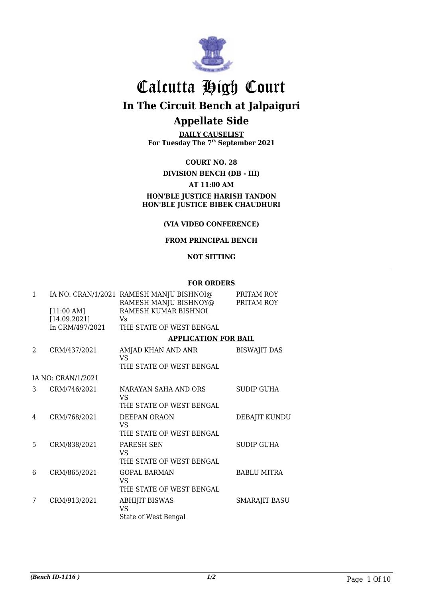

# Calcutta High Court

**In The Circuit Bench at Jalpaiguri**

### **Appellate Side**

**DAILY CAUSELIST For Tuesday The 7th September 2021**

#### **COURT NO. 28**

#### **DIVISION BENCH (DB - III) AT 11:00 AM HON'BLE JUSTICE HARISH TANDON HON'BLE JUSTICE BIBEK CHAUDHURI**

#### **(VIA VIDEO CONFERENCE)**

#### **FROM PRINCIPAL BENCH**

#### **NOT SITTING**

#### **FOR ORDERS**

| 1              |                    | IA NO. CRAN/1/2021 RAMESH MANJU BISHNOI@<br>RAMESH MANJU BISHNOY@ | PRITAM ROY<br>PRITAM ROY |
|----------------|--------------------|-------------------------------------------------------------------|--------------------------|
|                | [11:00 AM]         | RAMESH KUMAR BISHNOI                                              |                          |
|                | [14.09.2021]       | Vs                                                                |                          |
|                | In CRM/497/2021    | THE STATE OF WEST BENGAL                                          |                          |
|                |                    | <b>APPLICATION FOR BAIL</b>                                       |                          |
| $\mathfrak{D}$ | CRM/437/2021       | AMJAD KHAN AND ANR<br>VS.                                         | <b>BISWAJIT DAS</b>      |
|                |                    | THE STATE OF WEST BENGAL                                          |                          |
|                | IA NO: CRAN/1/2021 |                                                                   |                          |
| 3              | CRM/746/2021       | NARAYAN SAHA AND ORS<br>VS.                                       | <b>SUDIP GUHA</b>        |
|                |                    | THE STATE OF WEST BENGAL                                          |                          |
| 4              | CRM/768/2021       | DEEPAN ORAON<br>VS.                                               | DEBAJIT KUNDU            |
|                |                    | THE STATE OF WEST BENGAL                                          |                          |
| 5              | CRM/838/2021       | <b>PARESH SEN</b><br>VS.                                          | SUDIP GUHA               |
|                |                    | THE STATE OF WEST BENGAL                                          |                          |
| 6              | CRM/865/2021       | <b>GOPAL BARMAN</b><br>VS.                                        | <b>BABLU MITRA</b>       |
|                |                    | THE STATE OF WEST BENGAL                                          |                          |
| 7              | CRM/913/2021       | <b>ABHIJIT BISWAS</b><br>VS                                       | <b>SMARAJIT BASU</b>     |
|                |                    | State of West Bengal                                              |                          |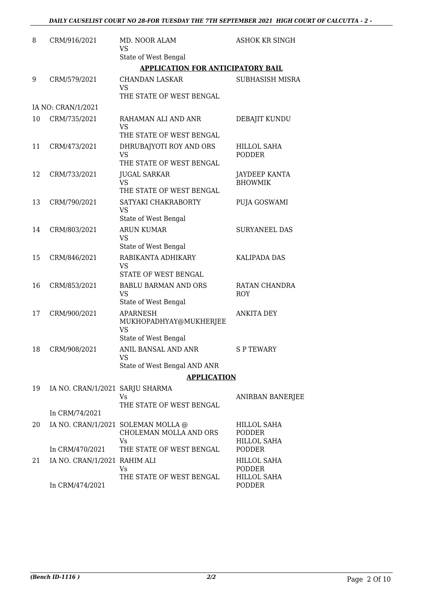#### *DAILY CAUSELIST COURT NO 28-FOR TUESDAY THE 7TH SEPTEMBER 2021 HIGH COURT OF CALCUTTA - 2 -*

| 8  | CRM/916/2021                    | MD. NOOR ALAM<br>VS                                                | <b>ASHOK KR SINGH</b>                       |
|----|---------------------------------|--------------------------------------------------------------------|---------------------------------------------|
|    |                                 | State of West Bengal                                               |                                             |
|    |                                 | <b>APPLICATION FOR ANTICIPATORY BAIL</b>                           |                                             |
| 9  | CRM/579/2021                    | <b>CHANDAN LASKAR</b><br><b>VS</b>                                 | SUBHASISH MISRA                             |
|    |                                 | THE STATE OF WEST BENGAL                                           |                                             |
|    | IA NO: CRAN/1/2021              |                                                                    |                                             |
| 10 | CRM/735/2021                    | RAHAMAN ALI AND ANR<br><b>VS</b>                                   | DEBAJIT KUNDU                               |
|    |                                 | THE STATE OF WEST BENGAL                                           |                                             |
| 11 | CRM/473/2021                    | DHRUBAJYOTI ROY AND ORS<br><b>VS</b>                               | <b>HILLOL SAHA</b><br><b>PODDER</b>         |
|    |                                 | THE STATE OF WEST BENGAL                                           |                                             |
| 12 | CRM/733/2021                    | <b>JUGAL SARKAR</b><br><b>VS</b>                                   | <b>JAYDEEP KANTA</b><br><b>BHOWMIK</b>      |
|    |                                 | THE STATE OF WEST BENGAL                                           |                                             |
| 13 | CRM/790/2021                    | SATYAKI CHAKRABORTY<br>VS                                          | PUJA GOSWAMI                                |
|    |                                 | State of West Bengal                                               |                                             |
| 14 | CRM/803/2021                    | <b>ARUN KUMAR</b><br><b>VS</b>                                     | <b>SURYANEEL DAS</b>                        |
|    |                                 | State of West Bengal                                               |                                             |
| 15 | CRM/846/2021                    | RABIKANTA ADHIKARY<br>VS<br>STATE OF WEST BENGAL                   | <b>KALIPADA DAS</b>                         |
| 16 | CRM/853/2021                    | <b>BABLU BARMAN AND ORS</b>                                        | RATAN CHANDRA                               |
|    |                                 | VS<br>State of West Bengal                                         | <b>ROY</b>                                  |
| 17 | CRM/900/2021                    | <b>APARNESH</b>                                                    | <b>ANKITA DEY</b>                           |
|    |                                 | MUKHOPADHYAY@MUKHERJEE<br>VS                                       |                                             |
|    |                                 | State of West Bengal                                               |                                             |
| 18 | CRM/908/2021                    | ANIL BANSAL AND ANR<br>VS                                          | S P TEWARY                                  |
|    |                                 | State of West Bengal AND ANR                                       |                                             |
|    |                                 | <b>APPLICATION</b>                                                 |                                             |
| 19 | IA NO. CRAN/1/2021 SARJU SHARMA | Vs.                                                                | ANIRBAN BANERJEE                            |
|    | In CRM/74/2021                  | THE STATE OF WEST BENGAL                                           |                                             |
|    |                                 |                                                                    |                                             |
| 20 |                                 | IA NO. CRAN/1/2021 SOLEMAN MOLLA @<br>CHOLEMAN MOLLA AND ORS<br>Vs | HILLOL SAHA<br><b>PODDER</b><br>HILLOL SAHA |
|    | In CRM/470/2021                 | THE STATE OF WEST BENGAL                                           | <b>PODDER</b>                               |
| 21 | IA NO. CRAN/1/2021 RAHIM ALI    | Vs                                                                 | HILLOL SAHA<br>PODDER                       |
|    | In CRM/474/2021                 | THE STATE OF WEST BENGAL                                           | <b>HILLOL SAHA</b><br>PODDER                |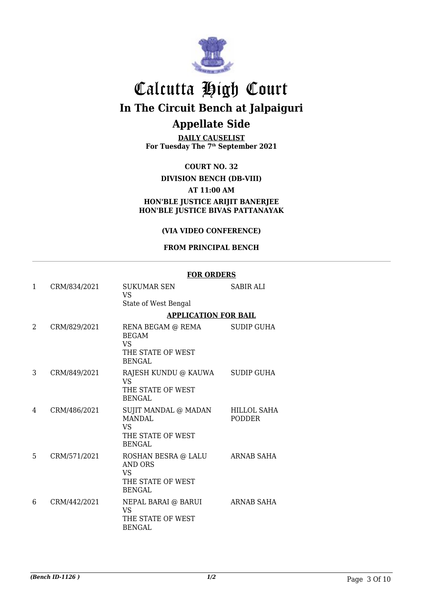

**DAILY CAUSELIST For Tuesday The 7th September 2021**

**COURT NO. 32**

#### **DIVISION BENCH (DB-VIII)**

#### **AT 11:00 AM**

**HON'BLE JUSTICE ARIJIT BANERJEE HON'BLE JUSTICE BIVAS PATTANAYAK**

#### **(VIA VIDEO CONFERENCE)**

#### **FROM PRINCIPAL BENCH**

|   |              | <b>FOR ORDERS</b>                                                                        |                                     |  |
|---|--------------|------------------------------------------------------------------------------------------|-------------------------------------|--|
| 1 | CRM/834/2021 | <b>SUKUMAR SEN</b><br><b>VS</b>                                                          | <b>SABIR ALI</b>                    |  |
|   |              | State of West Bengal                                                                     |                                     |  |
|   |              | <b>APPLICATION FOR BAIL</b>                                                              |                                     |  |
| 2 | CRM/829/2021 | RENA BEGAM @ REMA<br><b>BEGAM</b><br><b>VS</b><br>THE STATE OF WEST<br>BENGAL            | <b>SUDIP GUHA</b>                   |  |
| 3 | CRM/849/2021 | RAJESH KUNDU @ KAUWA<br><b>VS</b><br>THE STATE OF WEST<br><b>BENGAL</b>                  | SUDIP GUHA                          |  |
| 4 | CRM/486/2021 | SUJIT MANDAL @ MADAN<br><b>MANDAL</b><br><b>VS</b><br>THE STATE OF WEST<br><b>BENGAL</b> | <b>HILLOL SAHA</b><br><b>PODDER</b> |  |
| 5 | CRM/571/2021 | ROSHAN BESRA @ LALU<br>AND ORS<br><b>VS</b><br>THE STATE OF WEST<br>BENGAL               | <b>ARNAB SAHA</b>                   |  |
| 6 | CRM/442/2021 | NEPAL BARAI @ BARUI<br><b>VS</b><br>THE STATE OF WEST<br><b>BENGAL</b>                   | ARNAB SAHA                          |  |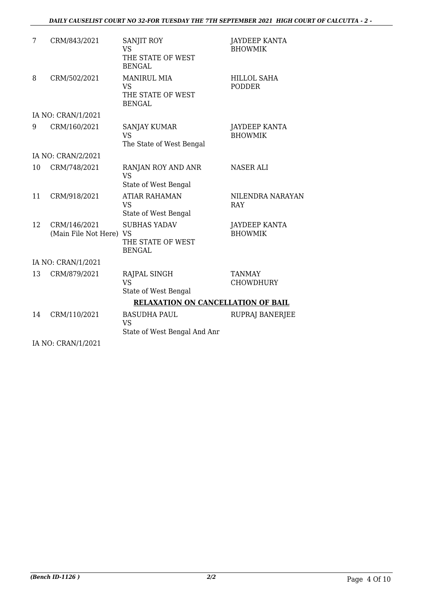#### *DAILY CAUSELIST COURT NO 32-FOR TUESDAY THE 7TH SEPTEMBER 2021 HIGH COURT OF CALCUTTA - 2 -*

| 7  | CRM/843/2021                            | SANJIT ROY<br><b>VS</b><br>THE STATE OF WEST<br><b>BENGAL</b>         | <b>JAYDEEP KANTA</b><br><b>BHOWMIK</b> |  |  |
|----|-----------------------------------------|-----------------------------------------------------------------------|----------------------------------------|--|--|
| 8  | CRM/502/2021                            | <b>MANIRUL MIA</b><br><b>VS</b><br>THE STATE OF WEST<br><b>BENGAL</b> | <b>HILLOL SAHA</b><br><b>PODDER</b>    |  |  |
|    | IA NO: CRAN/1/2021                      |                                                                       |                                        |  |  |
| 9  | CRM/160/2021                            | <b>SANJAY KUMAR</b><br><b>VS</b><br>The State of West Bengal          | <b>JAYDEEP KANTA</b><br><b>BHOWMIK</b> |  |  |
|    | IA NO: CRAN/2/2021                      |                                                                       |                                        |  |  |
| 10 | CRM/748/2021                            | RANJAN ROY AND ANR<br><b>VS</b><br>State of West Bengal               | <b>NASER ALI</b>                       |  |  |
| 11 | CRM/918/2021                            | <b>ATIAR RAHAMAN</b><br><b>VS</b><br>State of West Bengal             | NILENDRA NARAYAN<br><b>RAY</b>         |  |  |
| 12 | CRM/146/2021<br>(Main File Not Here) VS | <b>SUBHAS YADAV</b><br>THE STATE OF WEST<br><b>BENGAL</b>             | <b>JAYDEEP KANTA</b><br><b>BHOWMIK</b> |  |  |
|    | IA NO: CRAN/1/2021                      |                                                                       |                                        |  |  |
| 13 | CRM/879/2021                            | RAJPAL SINGH<br><b>VS</b><br>State of West Bengal                     | <b>TANMAY</b><br>CHOWDHURY             |  |  |
|    |                                         | <b>RELAXATION ON CANCELLATION OF BAIL</b>                             |                                        |  |  |
| 14 | CRM/110/2021                            | <b>BASUDHA PAUL</b><br><b>VS</b><br>State of West Bengal And Anr      | <b>RUPRAJ BANERJEE</b>                 |  |  |

IA NO: CRAN/1/2021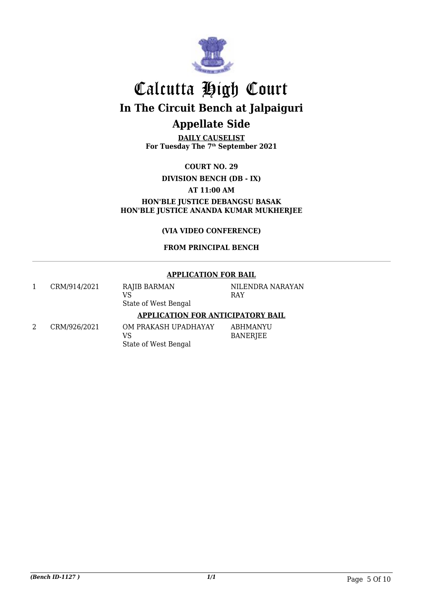

**DAILY CAUSELIST For Tuesday The 7th September 2021**

**COURT NO. 29**

**DIVISION BENCH (DB - IX)**

**AT 11:00 AM**

**HON'BLE JUSTICE DEBANGSU BASAK HON'BLE JUSTICE ANANDA KUMAR MUKHERJEE**

**(VIA VIDEO CONFERENCE)**

#### **FROM PRINCIPAL BENCH**

#### **APPLICATION FOR BAIL**

| CRM/914/2021 | RAJIB BARMAN<br>VS<br>State of West Bengal         | NILENDRA NARAYAN<br>RAY |
|--------------|----------------------------------------------------|-------------------------|
|              | <b>APPLICATION FOR ANTICIPATORY BAIL</b>           |                         |
| CRM/926/2021 | OM PRAKASH UPADHAYAY<br>VS<br>State of West Bengal | ABHMANYU<br>BANERJEE    |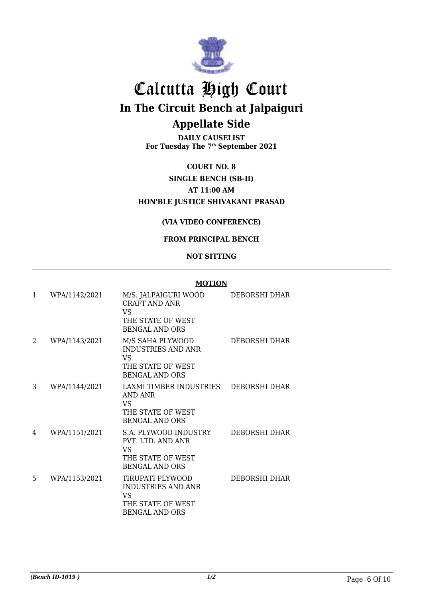

**DAILY CAUSELIST For Tuesday The 7th September 2021**

**COURT NO. 8 SINGLE BENCH (SB-II) AT 11:00 AM HON'BLE JUSTICE SHIVAKANT PRASAD**

#### **(VIA VIDEO CONFERENCE)**

#### **FROM PRINCIPAL BENCH**

#### **NOT SITTING**

#### **MOTION**

| $\mathbf{1}$ | WPA/1142/2021 | M/S. JALPAIGURI WOOD<br>CRAFT AND ANR<br><b>VS</b><br>THE STATE OF WEST<br><b>BENGAL AND ORS</b>  | DEBORSHI DHAR |
|--------------|---------------|---------------------------------------------------------------------------------------------------|---------------|
| 2            | WPA/1143/2021 | M/S SAHA PLYWOOD<br><b>INDUSTRIES AND ANR</b><br>VS<br>THE STATE OF WEST<br><b>BENGAL AND ORS</b> | DEBORSHI DHAR |
| 3            | WPA/1144/2021 | LAXMI TIMBER INDUSTRIES<br>AND ANR<br>VS.<br>THE STATE OF WEST<br><b>BENGAL AND ORS</b>           | DEBORSHI DHAR |
| 4            | WPA/1151/2021 | S.A. PLYWOOD INDUSTRY<br>PVT. LTD. AND ANR<br>VS<br>THE STATE OF WEST<br><b>BENGAL AND ORS</b>    | DEBORSHI DHAR |
| 5            | WPA/1153/2021 | TIRUPATI PLYWOOD<br><b>INDUSTRIES AND ANR</b><br>VS<br>THE STATE OF WEST<br><b>BENGAL AND ORS</b> | DEBORSHI DHAR |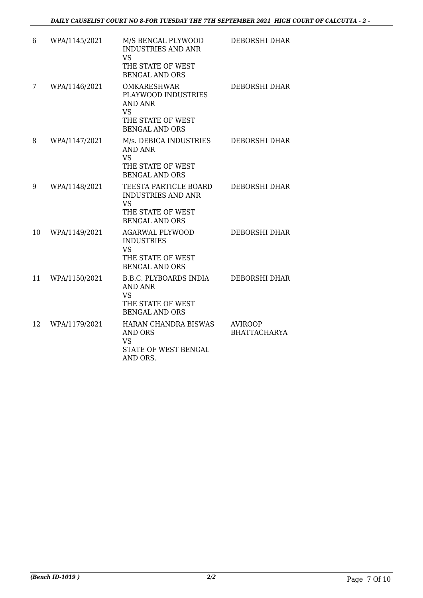| 6  | WPA/1145/2021 | M/S BENGAL PLYWOOD<br><b>INDUSTRIES AND ANR</b><br><b>VS</b><br>THE STATE OF WEST<br><b>BENGAL AND ORS</b>             | DEBORSHI DHAR                         |
|----|---------------|------------------------------------------------------------------------------------------------------------------------|---------------------------------------|
| 7  | WPA/1146/2021 | <b>OMKARESHWAR</b><br>PLAYWOOD INDUSTRIES<br><b>AND ANR</b><br><b>VS</b><br>THE STATE OF WEST<br><b>BENGAL AND ORS</b> | <b>DEBORSHI DHAR</b>                  |
| 8  | WPA/1147/2021 | M/s. DEBICA INDUSTRIES<br>AND ANR<br><b>VS</b><br>THE STATE OF WEST<br><b>BENGAL AND ORS</b>                           | <b>DEBORSHI DHAR</b>                  |
| 9  | WPA/1148/2021 | TEESTA PARTICLE BOARD<br><b>INDUSTRIES AND ANR</b><br><b>VS</b><br>THE STATE OF WEST<br><b>BENGAL AND ORS</b>          | DEBORSHI DHAR                         |
| 10 | WPA/1149/2021 | <b>AGARWAL PLYWOOD</b><br><b>INDUSTRIES</b><br><b>VS</b><br>THE STATE OF WEST<br><b>BENGAL AND ORS</b>                 | DEBORSHI DHAR                         |
| 11 | WPA/1150/2021 | <b>B.B.C. PLYBOARDS INDIA</b><br><b>AND ANR</b><br><b>VS</b><br>THE STATE OF WEST<br><b>BENGAL AND ORS</b>             | DEBORSHI DHAR                         |
| 12 | WPA/1179/2021 | HARAN CHANDRA BISWAS<br><b>AND ORS</b><br><b>VS</b><br>STATE OF WEST BENGAL<br>AND ORS.                                | <b>AVIROOP</b><br><b>BHATTACHARYA</b> |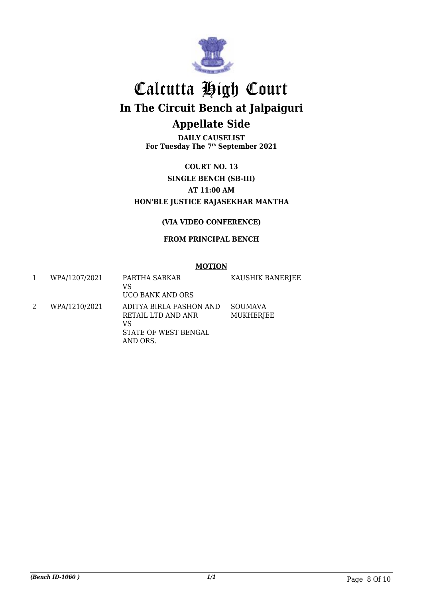

**DAILY CAUSELIST For Tuesday The 7th September 2021**

**COURT NO. 13 SINGLE BENCH (SB-III) AT 11:00 AM HON'BLE JUSTICE RAJASEKHAR MANTHA**

#### **(VIA VIDEO CONFERENCE)**

#### **FROM PRINCIPAL BENCH**

#### **MOTION**

1 WPA/1207/2021 PARTHA SARKAR VS UCO BANK AND ORS KAUSHIK BANERJEE 2 WPA/1210/2021 ADITYA BIRLA FASHON AND RETAIL LTD AND ANR VS STATE OF WEST BENGAL AND ORS. SOUMAVA MUKHERJEE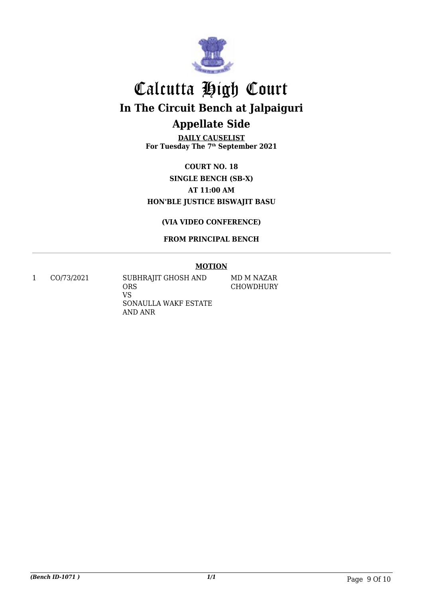

**DAILY CAUSELIST For Tuesday The 7th September 2021**

**COURT NO. 18 SINGLE BENCH (SB-X) AT 11:00 AM HON'BLE JUSTICE BISWAJIT BASU**

**(VIA VIDEO CONFERENCE)**

**FROM PRINCIPAL BENCH**

#### **MOTION**

MD M NAZAR CHOWDHURY

1 CO/73/2021 SUBHRAJIT GHOSH AND ORS VS SONAULLA WAKF ESTATE AND ANR

*(Bench ID-1071 ) 1/1* Page 9 Of 10